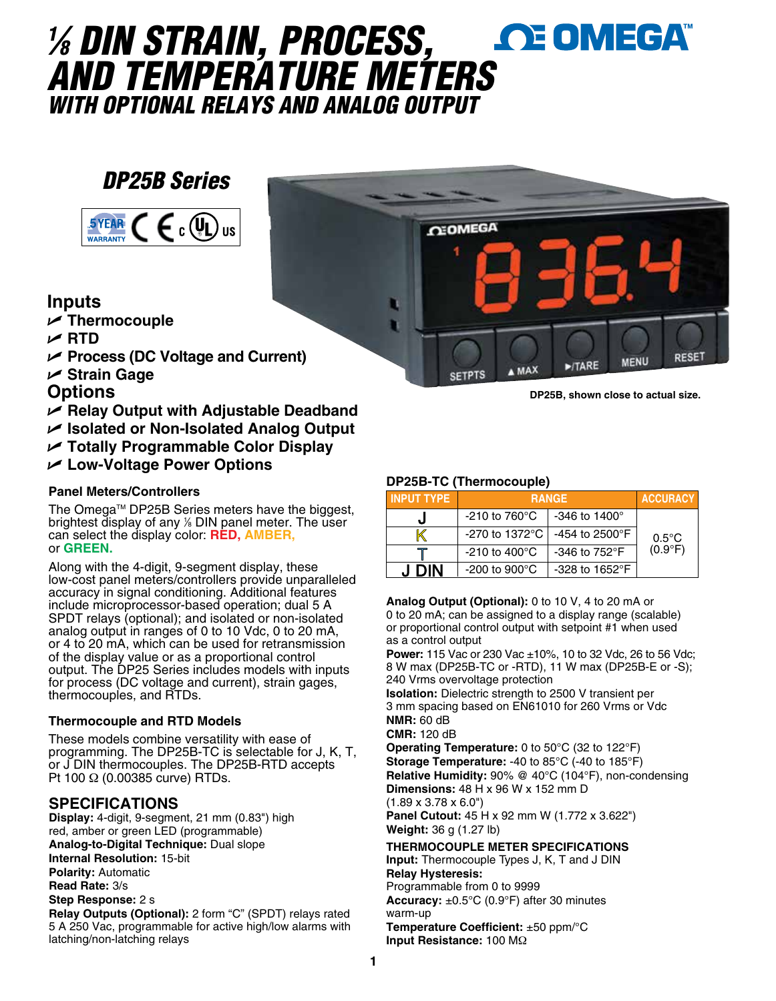### *1 ⁄8 DIN STRAIN, PROCESS,*  **OE OMEGA** *AND TEMPERATURE METER[S](www.omega.com) WITH OPTIONAL RELAYS AND ANALOG OUTPUT*

## *DP25B Series*



#### **Inputs**

- U **Thermocouple**
- U **RTD**
- U **Process (DC Voltage and Current)**
- U **Strain Gage**
- **Options**
- U **Relay Output with Adjustable Deadband**
- U **Isolated or Non-Isolated Analog Output**
- U **Totally Programmable Color Display**
- U **Low-Voltage Power Options**

#### **Panel Meters/Controllers**

The Omega™ DP25B Series meters have the biggest, brightest display of any 1 ⁄8 DIN panel meter. The user can select the display color: **RED, AMBER,** or **GREEN.**

Along with the 4-digit, 9-segment display, these low-cost panel meters/controllers provide unparalleled accuracy in signal conditioning. Additional features include microprocessor-based operation; dual 5 A SPDT relays (optional); and isolated or non-isolated analog output in ranges of 0 to 10 Vdc, 0 to 20 mA, or 4 to 20 mA, which can be used for retransmission of the display value or as a proportional control output. The DP25 Series includes models with inputs for process (DC voltage and current), strain gages, thermocouples, and RTDs.

#### **Thermocouple and RTD Models**

These models combine versatility with ease of programming. The DP25B-TC is selectable for J, K, T, or J DIN thermocouples. The DP25B-RTD accepts Pt 100 Ω (0.00385 curve) RTDs.

#### **SPECIFICATIONS**

**Display:** 4-digit, 9-segment, 21 mm (0.83") high red, amber or green LED (programmable) **Analog-to-Digital Technique:** Dual slope **Internal Resolution:** 15-bit **Polarity:** Automatic **Read Rate:** 3/s **Step Response:** 2 s

**Relay Outputs (Optional):** 2 form "C" (SPDT) relays rated 5 A 250 Vac, programmable for active high/low alarms with latching/non-latching relays



**DP25B, shown close to actual size.**

#### **DP25B-TC (Thermocouple)**

| <b>INPUT TYPE</b> |                            | <b>RANGE</b>               | <b>ACCURACY</b>  |
|-------------------|----------------------------|----------------------------|------------------|
|                   | $-210$ to 760 $^{\circ}$ C | $-346$ to $1400^{\circ}$   |                  |
|                   | $-270$ to 1372 $\degree$ C | $-454$ to 2500 $\degree$ F | $0.5^{\circ}$ C  |
|                   | $-210$ to $400^{\circ}$ C  | $-346$ to $752^{\circ}$ F  | $(0.9^{\circ}F)$ |
| <b>DIN</b><br>. І | $-200$ to $900^{\circ}$ C  | $-328$ to $1652^{\circ}F$  |                  |

**Analog Output (Optional):** 0 to 10 V, 4 to 20 mA or 0 to 20 mA; can be assigned to a display range (scalable) or proportional control output with setpoint #1 when used as a control output

**Power:** 115 Vac or 230 Vac ±10%, 10 to 32 Vdc, 26 to 56 Vdc; 8 W max (DP25B-TC or -RTD), 11 W max (DP25B-E or -S); 240 Vrms overvoltage protection

**Isolation:** Dielectric strength to 2500 V transient per 3 mm spacing based on EN61010 for 260 Vrms or Vdc **NMR:** 60 dB

**CMR:** 120 dB

**Operating Temperature:** 0 to 50°C (32 to 122°F) **Storage Temperature:** -40 to 85°C (-40 to 185°F) **Relative Humidity:** 90% @ 40°C (104°F), non-condensing **Dimensions:** 48 H x 96 W x 152 mm D (1.89 x 3.78 x 6.0")

**Panel Cutout:** 45 H x 92 mm W (1.772 x 3.622") **Weight:** 36 g (1.27 lb)

**THERMOCOUPLE METER SPECIFICATIONS**

**Input:** Thermocouple Types J, K, T and J DIN **Relay Hysteresis:** Programmable from 0 to 9999

**Accuracy:** ±0.5°C (0.9°F) after 30 minutes warm-up

**Temperature Coefficient:** ±50 ppm/°C **Input Resistance:** 100 MΩ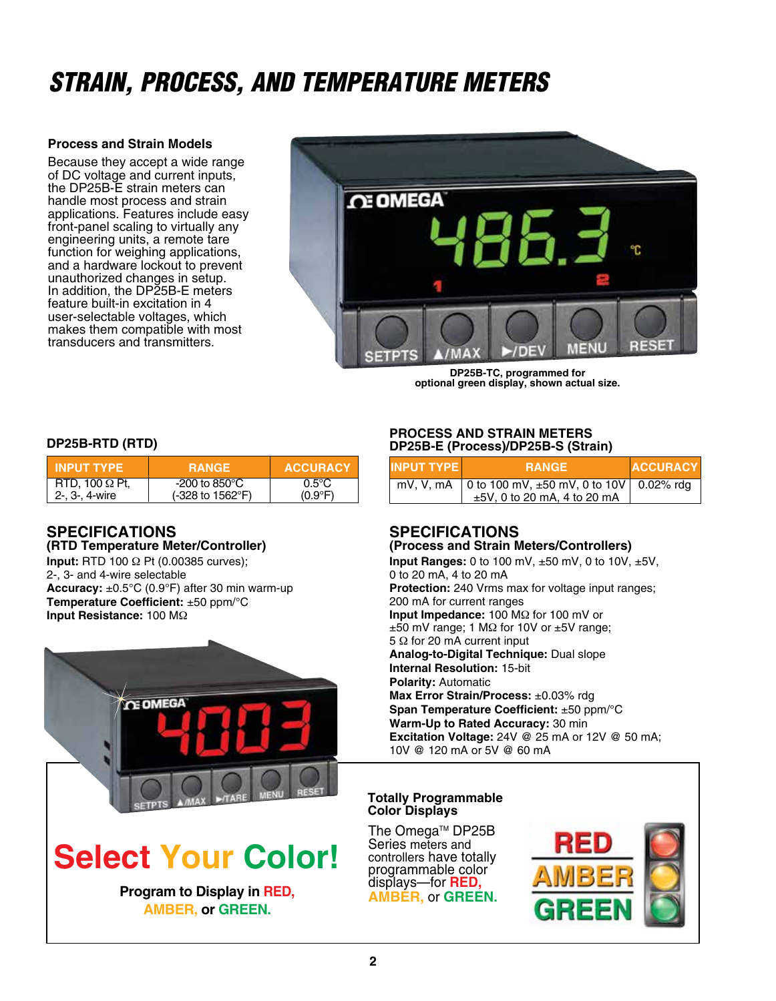## *STRAIN, PROCESS, AND TEMPERATURE METERS*

#### **Process and Strain Models**

Because they accept a wide range of DC voltage and current inputs. the DP25B-E strain meters can handle most process and strain applications. Features include easy front-panel scaling to virtually any engineering units, a remote tare function for weighing applications, and a hardware lockout to prevent unauthorized changes in setup. In addition, the DP25B-E meters feature built-in excitation in 4 user-selectable voltages, which makes them compatible with most transducers and transmitters.



**DP25B-TC, programmed for optional green display, shown actual size.**

#### **DP25B-RTD (RTD)**

| <b>TINPUT TYPE</b>    | <b>RANGE</b>                       | <b>ACCURACY</b>  |
|-----------------------|------------------------------------|------------------|
| RTD, 100 $\Omega$ Pt. | -200 to 850 $^{\circ}$ C           | $0.5^{\circ}$ C  |
| 2-, 3-, 4-wire        | $(-328 \text{ to } 1562^{\circ}F)$ | $(0.9^{\circ}F)$ |

#### **SPECIFICATIONS (RTD Temperature Meter/Controller)**

**Input:** RTD 100 Ω Pt (0.00385 curves); 2-, 3- and 4-wire selectable **Accuracy:** ±0.5°C (0.9°F) after 30 min warm-up **Temperature Coefficient:** ±50 ppm/°C **Input Resistance:** 100 MΩ



# **Select Your Color!**

displays—for **RED, AMBER,** or **GREEN. Program to Display in RED, AMBER, or GREEN.**

#### **PROCESS AND STRAIN METERS DP25B-E (Process)/DP25B-S (Strain)**

| <b>INPUT TYPE</b> | <b>RANGE</b>                                               | <b>ACCURACY</b> |
|-------------------|------------------------------------------------------------|-----------------|
|                   | mV, V, mA   0 to 100 mV, $\pm 50$ mV, 0 to 10V   0.02% rdg |                 |
|                   | ±5V, 0 to 20 mA, 4 to 20 mA                                |                 |

#### **SPECIFICATIONS (Process and Strain Meters/Controllers)**

**Input Ranges:** 0 to 100 mV, ±50 mV, 0 to 10V, ±5V, 0 to 20 mA, 4 to 20 mA **Protection:** 240 Vrms max for voltage input ranges; 200 mA for current ranges **Input Impedance:** 100 MΩ for 100 mV or ±50 mV range; 1 MΩ for 10V or ±5V range; 5 Ω for 20 mA current input **Analog-to-Digital Technique:** Dual slope **Internal Resolution:** 15-bit **Polarity:** Automatic **Max Error Strain/Process:** ±0.03% rdg **Span Temperature Coefficient:** ±50 ppm/°C **Warm-Up to Rated Accuracy:** 30 min **Excitation Voltage:** 24V @ 25 mA or 12V @ 50 mA; 10V @ 120 mA or 5V @ 60 mA

#### **Totally Programmable Color Displays**

The Omega™ DP25B Series meters and<br>controllers have totally programmable color<br>displays—for **RED**,